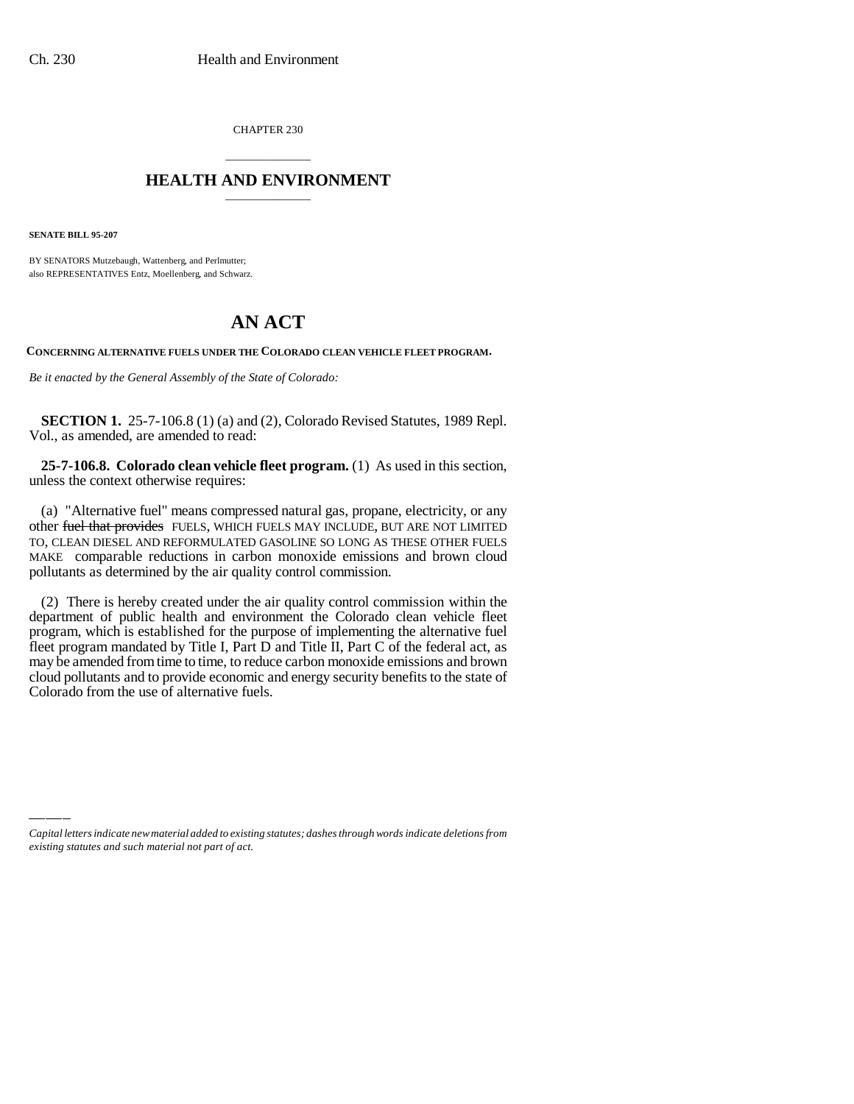CHAPTER 230

## \_\_\_\_\_\_\_\_\_\_\_\_\_\_\_ **HEALTH AND ENVIRONMENT** \_\_\_\_\_\_\_\_\_\_\_\_\_\_\_

**SENATE BILL 95-207**

BY SENATORS Mutzebaugh, Wattenberg, and Perlmutter; also REPRESENTATIVES Entz, Moellenberg, and Schwarz.

## **AN ACT**

**CONCERNING ALTERNATIVE FUELS UNDER THE COLORADO CLEAN VEHICLE FLEET PROGRAM.**

*Be it enacted by the General Assembly of the State of Colorado:*

**SECTION 1.** 25-7-106.8 (1) (a) and (2), Colorado Revised Statutes, 1989 Repl. Vol., as amended, are amended to read:

**25-7-106.8. Colorado clean vehicle fleet program.** (1) As used in this section, unless the context otherwise requires:

(a) "Alternative fuel" means compressed natural gas, propane, electricity, or any other fuel that provides FUELS, WHICH FUELS MAY INCLUDE, BUT ARE NOT LIMITED TO, CLEAN DIESEL AND REFORMULATED GASOLINE SO LONG AS THESE OTHER FUELS MAKE comparable reductions in carbon monoxide emissions and brown cloud pollutants as determined by the air quality control commission.

(2) There is hereby created under the air quality control commission within the department of public health and environment the Colorado clean vehicle fleet program, which is established for the purpose of implementing the alternative fuel fleet program mandated by Title I, Part D and Title II, Part C of the federal act, as may be amended from time to time, to reduce carbon monoxide emissions and brown cloud pollutants and to provide economic and energy security benefits to the state of Colorado from the use of alternative fuels.

*Capital letters indicate new material added to existing statutes; dashes through words indicate deletions from existing statutes and such material not part of act.*